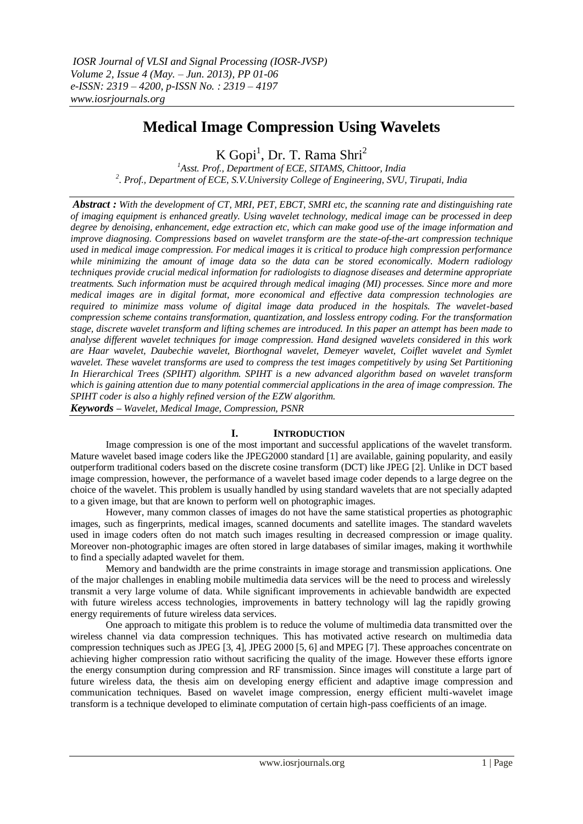# **Medical Image Compression Using Wavelets**

K Gopi<sup>1</sup>, Dr. T. Rama Shri<sup>2</sup>

*<sup>1</sup>Asst. Prof., Department of ECE, SITAMS, Chittoor, India 2 . Prof., Department of ECE, S.V.University College of Engineering, SVU, Tirupati, India*

*Abstract : With the development of CT, MRI, PET, EBCT, SMRI etc, the scanning rate and distinguishing rate of imaging equipment is enhanced greatly. Using wavelet technology, medical image can be processed in deep degree by denoising, enhancement, edge extraction etc, which can make good use of the image information and improve diagnosing. Compressions based on wavelet transform are the state-of-the-art compression technique used in medical image compression. For medical images it is critical to produce high compression performance while minimizing the amount of image data so the data can be stored economically. Modern radiology techniques provide crucial medical information for radiologists to diagnose diseases and determine appropriate treatments. Such information must be acquired through medical imaging (MI) processes. Since more and more medical images are in digital format, more economical and effective data compression technologies are required to minimize mass volume of digital image data produced in the hospitals. The wavelet-based compression scheme contains transformation, quantization, and lossless entropy coding. For the transformation stage, discrete wavelet transform and lifting schemes are introduced. In this paper an attempt has been made to analyse different wavelet techniques for image compression. Hand designed wavelets considered in this work are Haar wavelet, Daubechie wavelet, Biorthognal wavelet, Demeyer wavelet, Coiflet wavelet and Symlet wavelet. These wavelet transforms are used to compress the test images competitively by using Set Partitioning In Hierarchical Trees (SPIHT) algorithm. SPIHT is a new advanced algorithm based on wavelet transform which is gaining attention due to many potential commercial applications in the area of image compression. The SPIHT coder is also a highly refined version of the EZW algorithm. Keywords – Wavelet, Medical Image, Compression, PSNR*

# **I. INTRODUCTION**

Image compression is one of the most important and successful applications of the wavelet transform. Mature wavelet based image coders like the JPEG2000 standard [1] are available, gaining popularity, and easily outperform traditional coders based on the discrete cosine transform (DCT) like JPEG [2]. Unlike in DCT based image compression, however, the performance of a wavelet based image coder depends to a large degree on the choice of the wavelet. This problem is usually handled by using standard wavelets that are not specially adapted to a given image, but that are known to perform well on photographic images.

However, many common classes of images do not have the same statistical properties as photographic images, such as fingerprints, medical images, scanned documents and satellite images. The standard wavelets used in image coders often do not match such images resulting in decreased compression or image quality. Moreover non-photographic images are often stored in large databases of similar images, making it worthwhile to find a specially adapted wavelet for them.

Memory and bandwidth are the prime constraints in image storage and transmission applications. One of the major challenges in enabling mobile multimedia data services will be the need to process and wirelessly transmit a very large volume of data. While significant improvements in achievable bandwidth are expected with future wireless access technologies, improvements in battery technology will lag the rapidly growing energy requirements of future wireless data services.

One approach to mitigate this problem is to reduce the volume of multimedia data transmitted over the wireless channel via data compression techniques. This has motivated active research on multimedia data compression techniques such as JPEG [3, 4], JPEG 2000 [5, 6] and MPEG [7]. These approaches concentrate on achieving higher compression ratio without sacrificing the quality of the image. However these efforts ignore the energy consumption during compression and RF transmission. Since images will constitute a large part of future wireless data, the thesis aim on developing energy efficient and adaptive image compression and communication techniques. Based on wavelet image compression, energy efficient multi-wavelet image transform is a technique developed to eliminate computation of certain high-pass coefficients of an image.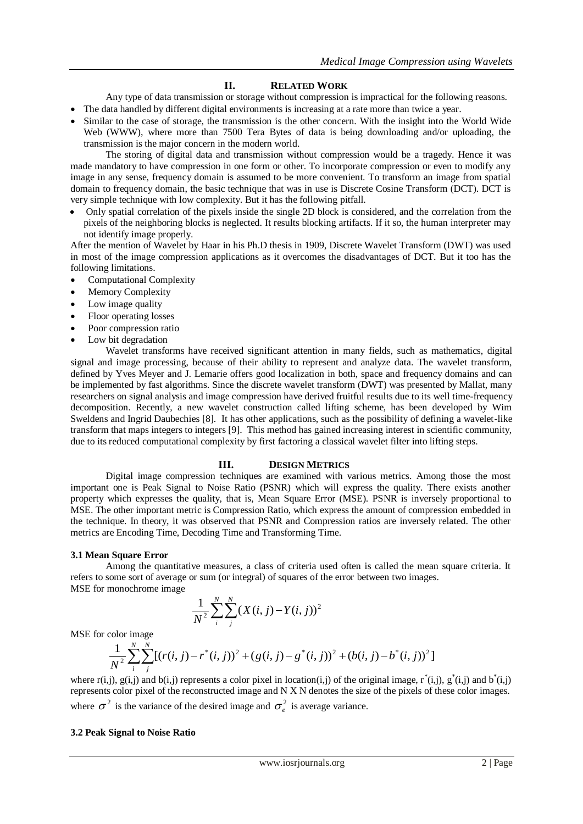# **II. RELATED WORK**

- Any type of data transmission or storage without compression is impractical for the following reasons.
- The data handled by different digital environments is increasing at a rate more than twice a year.
- Similar to the case of storage, the transmission is the other concern. With the insight into the World Wide Web (WWW), where more than 7500 Tera Bytes of data is being downloading and/or uploading, the transmission is the major concern in the modern world.

The storing of digital data and transmission without compression would be a tragedy. Hence it was made mandatory to have compression in one form or other. To incorporate compression or even to modify any image in any sense, frequency domain is assumed to be more convenient. To transform an image from spatial domain to frequency domain, the basic technique that was in use is Discrete Cosine Transform (DCT). DCT is very simple technique with low complexity. But it has the following pitfall.

 Only spatial correlation of the pixels inside the single 2D block is considered, and the correlation from the pixels of the neighboring blocks is neglected. It results blocking artifacts. If it so, the human interpreter may not identify image properly.

After the mention of Wavelet by Haar in his Ph.D thesis in 1909, Discrete Wavelet Transform (DWT) was used in most of the image compression applications as it overcomes the disadvantages of DCT. But it too has the following limitations.

- Computational Complexity
- Memory Complexity
- Low image quality
- Floor operating losses
- Poor compression ratio
- Low bit degradation

Wavelet transforms have received significant attention in many fields, such as mathematics, digital signal and image processing, because of their ability to represent and analyze data. The wavelet transform, defined by Yves Meyer and J. Lemarie offers good localization in both, space and frequency domains and can be implemented by fast algorithms. Since the discrete wavelet transform (DWT) was presented by Mallat, many researchers on signal analysis and image compression have derived fruitful results due to its well time-frequency decomposition. Recently, a new wavelet construction called lifting scheme, has been developed by Wim Sweldens and Ingrid Daubechies [8]. It has other applications, such as the possibility of defining a wavelet-like transform that maps integers to integers [9]. This method has gained increasing interest in scientific community, due to its reduced computational complexity by first factoring a classical wavelet filter into lifting steps.

# **III. DESIGN METRICS**

Digital image compression techniques are examined with various metrics. Among those the most important one is Peak Signal to Noise Ratio (PSNR) which will express the quality. There exists another property which expresses the quality, that is, Mean Square Error (MSE). PSNR is inversely proportional to MSE. The other important metric is Compression Ratio, which express the amount of compression embedded in the technique. In theory, it was observed that PSNR and Compression ratios are inversely related. The other metrics are Encoding Time, Decoding Time and Transforming Time.

# **3.1 Mean Square Error**

Among the quantitative measures, a class of criteria used often is called the mean square criteria. It refers to some sort of average or sum (or integral) of squares of the error between two images. MSE for monochrome image

$$
\frac{1}{N^2}\sum_{i}^{N}\sum_{j}^{N}(X(i,j)-Y(i,j))^2
$$

MSE for color image

$$
\frac{1}{N^2}\sum_{i}^{N}\sum_{j}^{N}[(r(i,j)-r^*(i,j))^2+(g(i,j)-g^*(i,j))^2+(b(i,j)-b^*(i,j))^2]
$$

where  $r(i,j)$ ,  $g(i,j)$  and  $b(i,j)$  represents a color pixel in location(i,j) of the original image,  $r^*(i,j)$ ,  $g^*(i,j)$  and  $b^*(i,j)$ represents color pixel of the reconstructed image and N X N denotes the size of the pixels of these color images. where  $\sigma^2$  is the variance of the desired image and  $\sigma_e^2$  is average variance.

### **3.2 Peak Signal to Noise Ratio**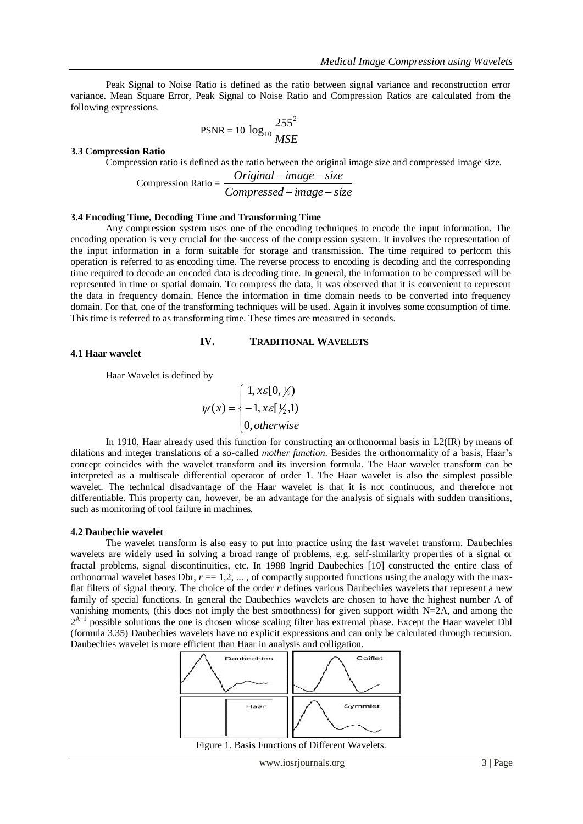Peak Signal to Noise Ratio is defined as the ratio between signal variance and reconstruction error variance. Mean Square Error, Peak Signal to Noise Ratio and Compression Ratios are calculated from the following expressions.

$$
PSNR = 10 \log_{10} \frac{255^2}{MSE}
$$

#### **3.3 Compression Ratio**

Compression ratio is defined as the ratio between the original image size and compressed image size.

$$
Compression Ratio = \frac{Original - image - size}{Compressed - image - size}
$$

#### **3.4 Encoding Time, Decoding Time and Transforming Time**

Any compression system uses one of the encoding techniques to encode the input information. The encoding operation is very crucial for the success of the compression system. It involves the representation of the input information in a form suitable for storage and transmission. The time required to perform this operation is referred to as encoding time. The reverse process to encoding is decoding and the corresponding time required to decode an encoded data is decoding time. In general, the information to be compressed will be represented in time or spatial domain. To compress the data, it was observed that it is convenient to represent the data in frequency domain. Hence the information in time domain needs to be converted into frequency domain. For that, one of the transforming techniques will be used. Again it involves some consumption of time. This time is referred to as transforming time. These times are measured in seconds.

### **IV. TRADITIONAL WAVELETS**

#### **4.1 Haar wavelet**

Haar Wavelet is defined by

$$
\psi(x) = \begin{cases} 1, x \in [0, \frac{1}{2}) \\ -1, x \in [\frac{1}{2}, 1) \\ 0, otherwise \end{cases}
$$

In 1910, Haar already used this function for constructing an orthonormal basis in L2(IR) by means of dilations and integer translations of a so-called *mother function*. Besides the orthonormality of a basis, Haar's concept coincides with the wavelet transform and its inversion formula. The Haar wavelet transform can be interpreted as a multiscale differential operator of order 1. The Haar wavelet is also the simplest possible wavelet. The technical disadvantage of the Haar wavelet is that it is not [continuous,](http://en.wikipedia.org/wiki/Continuous_function) and therefore not [differentiable.](http://en.wikipedia.org/wiki/Derivative) This property can, however, be an advantage for the analysis of signals with sudden transitions, such as monitoring of tool failure in machines.

#### **4.2 Daubechie wavelet**

The wavelet transform is also easy to put into practice using the fast wavelet transform. Daubechies wavelets are widely used in solving a broad range of problems, e.g. self-similarity properties of a signal or fractal problems, signal discontinuities, etc. In 1988 Ingrid Daubechies [10] constructed the entire class of orthonormal wavelet bases Dbr,  $r = 1,2, \ldots$ , of compactly supported functions using the analogy with the maxflat filters of signal theory. The choice of the order *r* defines various Daubechies wavelets that represent a new family of special functions. In general the Daubechies wavelets are chosen to have the highest number A of vanishing moments, (this does not imply the best smoothness) for given support width  $N=2A$ , and among the 2<sup>A−1</sup> possible solutions the one is chosen whose scaling filter has extremal phase. Except the Haar wavelet Dbl (formula 3.35) Daubechies wavelets have no explicit expressions and can only be calculated through recursion. Daubechies wavelet is more efficient than Haar in analysis and colligation.



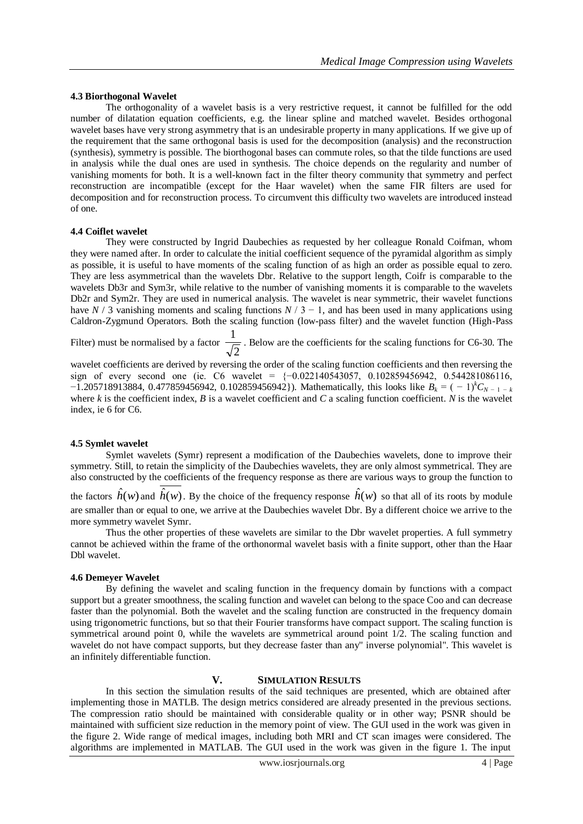### **4.3 Biorthogonal Wavelet**

The orthogonality of a wavelet basis is a very restrictive request, it cannot be fulfilled for the odd number of dilatation equation coefficients, e.g. the linear spline and matched wavelet. Besides orthogonal wavelet bases have very strong asymmetry that is an undesirable property in many applications. If we give up of the requirement that the same orthogonal basis is used for the decomposition (analysis) and the reconstruction (synthesis), symmetry is possible. The biorthogonal bases can commute roles, so that the tilde functions are used in analysis while the dual ones are used in synthesis. The choice depends on the regularity and number of vanishing moments for both. It is a well-known fact in the filter theory community that symmetry and perfect reconstruction are incompatible (except for the Haar wavelet) when the same FIR filters are used for decomposition and for reconstruction process. To circumvent this difficulty two wavelets are introduced instead of one.

### **4.4 Coiflet wavelet**

They were constructed by Ingrid Daubechies as requested by her colleague Ronald Coifman, whom they were named after. In order to calculate the initial coefficient sequence of the pyramidal algorithm as simply as possible, it is useful to have moments of the scaling function of as high an order as possible equal to zero. They are less asymmetrical than the wavelets Dbr. Relative to the support length, Coifr is comparable to the wavelets Db3r and Sym3r, while relative to the number of vanishing moments it is comparable to the wavelets Db2r and Sym2r. They are used in numerical analysis. The wavelet is near symmetric, their wavelet functions have *N* / 3 vanishing moments and scaling functions *N* / 3 − 1, and has been used in many applications using Caldron-Zygmund Operators. Both the scaling function (low-pass filter) and the wavelet function (High-Pass

Filter) must be normalised by a factor 2  $\frac{1}{\sqrt{2}}$ . Below are the coefficients for the scaling functions for C6-30. The

wavelet coefficients are derived by reversing the order of the scaling function coefficients and then reversing the sign of every second one (ie. C6 wavelet =  $(-0.022140543057, 0.102859456942, 0.544281086116,$ −1.205718913884, 0.477859456942, 0.102859456942}). Mathematically, this looks like *B<sup>k</sup>* = ( − 1)*<sup>k</sup>C<sup>N</sup>* − 1 − *<sup>k</sup>* where  $k$  is the coefficient index,  $B$  is a wavelet coefficient and  $C$  a scaling function coefficient.  $N$  is the wavelet index, ie 6 for C6.

### **4.5 Symlet wavelet**

Symlet wavelets (Symr) represent a modification of the Daubechies wavelets, done to improve their symmetry. Still, to retain the simplicity of the Daubechies wavelets, they are only almost symmetrical. They are also constructed by the coefficients of the frequency response as there are various ways to group the function to the factors  $\hat{h}(w)$  and  $\hat{h}(w)$ . By the choice of the frequency response  $\hat{h}(w)$  so that all of its roots by module are smaller than or equal to one, we arrive at the Daubechies wavelet Dbr. By a different choice we arrive to the

more symmetry wavelet Symr.

Thus the other properties of these wavelets are similar to the Dbr wavelet properties. A full symmetry cannot be achieved within the frame of the orthonormal wavelet basis with a finite support, other than the Haar Dbl wavelet.

### **4.6 Demeyer Wavelet**

By defining the wavelet and scaling function in the frequency domain by functions with a compact support but a greater smoothness, the scaling function and wavelet can belong to the space Coo and can decrease faster than the polynomial. Both the wavelet and the scaling function are constructed in the frequency domain using trigonometric functions, but so that their Fourier transforms have compact support. The scaling function is symmetrical around point 0, while the wavelets are symmetrical around point 1/2. The scaling function and wavelet do not have compact supports, but they decrease faster than any" inverse polynomial". This wavelet is an infinitely differentiable function.

# **V. SIMULATION RESULTS**

In this section the simulation results of the said techniques are presented, which are obtained after implementing those in MATLB. The design metrics considered are already presented in the previous sections. The compression ratio should be maintained with considerable quality or in other way; PSNR should be maintained with sufficient size reduction in the memory point of view. The GUI used in the work was given in the figure 2. Wide range of medical images, including both MRI and CT scan images were considered. The algorithms are implemented in MATLAB. The GUI used in the work was given in the figure 1. The input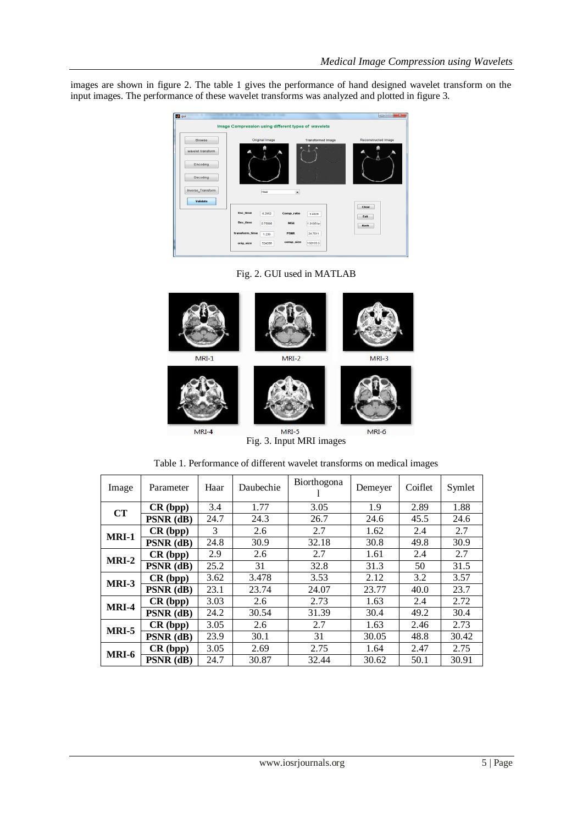images are shown in figure 2. The table 1 gives the performance of hand designed wavelet transform on the input images. The performance of these wavelet transforms was analyzed and plotted in figure 3.



Fig. 2. GUI used in MATLAB



Table 1. Performance of different wavelet transforms on medical images

| Image        | Parameter   | Haar | Daubechie | Biorthogona | Demeyer | Coiflet | Symlet |
|--------------|-------------|------|-----------|-------------|---------|---------|--------|
| CT           | $CR$ (bpp)  | 3.4  | 1.77      | 3.05        | 1.9     | 2.89    | 1.88   |
|              | PSNR (dB)   | 24.7 | 24.3      | 26.7        | 24.6    | 45.5    | 24.6   |
| $MRI-1$      | $CR$ (bpp)  | 3    | 2.6       | 2.7         | 1.62    | 2.4     | 2.7    |
|              | PSNR (dB)   | 24.8 | 30.9      | 32.18       | 30.8    | 49.8    | 30.9   |
| $MRI-2$      | $CR$ (bpp)  | 2.9  | 2.6       | 2.7         | 1.61    | 2.4     | 2.7    |
|              | $PSNR$ (dB) | 25.2 | 31        | 32.8        | 31.3    | 50      | 31.5   |
| <b>MRI-3</b> | $CR$ (bpp)  | 3.62 | 3.478     | 3.53        | 2.12    | 3.2     | 3.57   |
|              | $PSNR$ (dB) | 23.1 | 23.74     | 24.07       | 23.77   | 40.0    | 23.7   |
| MRI-4        | $CR$ (bpp)  | 3.03 | 2.6       | 2.73        | 1.63    | 2.4     | 2.72   |
|              | PSNR (dB)   | 24.2 | 30.54     | 31.39       | 30.4    | 49.2    | 30.4   |
| MRI-5        | $CR$ (bpp)  | 3.05 | 2.6       | 2.7         | 1.63    | 2.46    | 2.73   |
|              | $PSNR$ (dB) | 23.9 | 30.1      | 31          | 30.05   | 48.8    | 30.42  |
| MRI-6        | $CR$ (bpp)  | 3.05 | 2.69      | 2.75        | 1.64    | 2.47    | 2.75   |
|              | PSNR (dB)   | 24.7 | 30.87     | 32.44       | 30.62   | 50.1    | 30.91  |